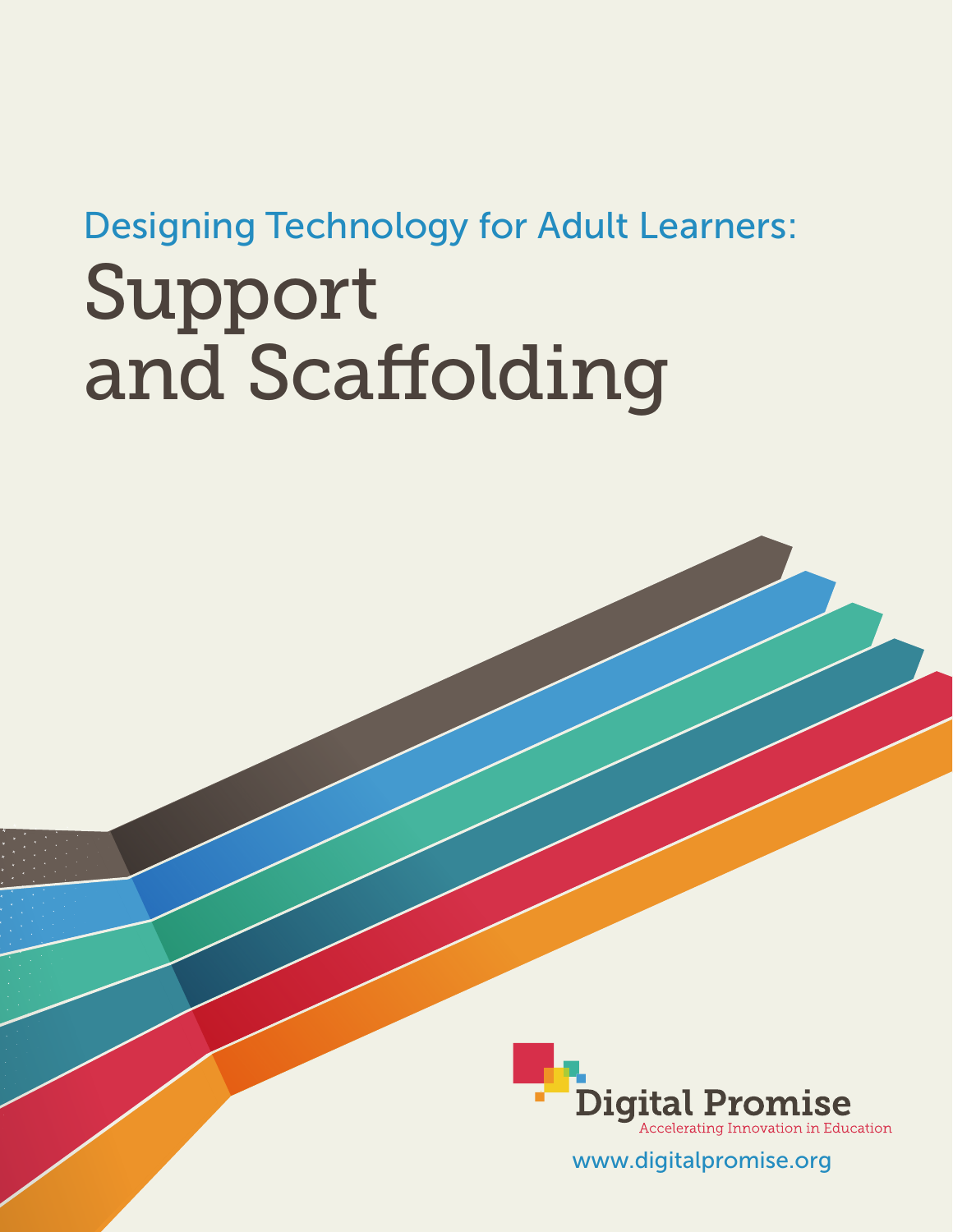# Designing Technology for Adult Learners: Support and Scaffolding



www.digitalpromise.org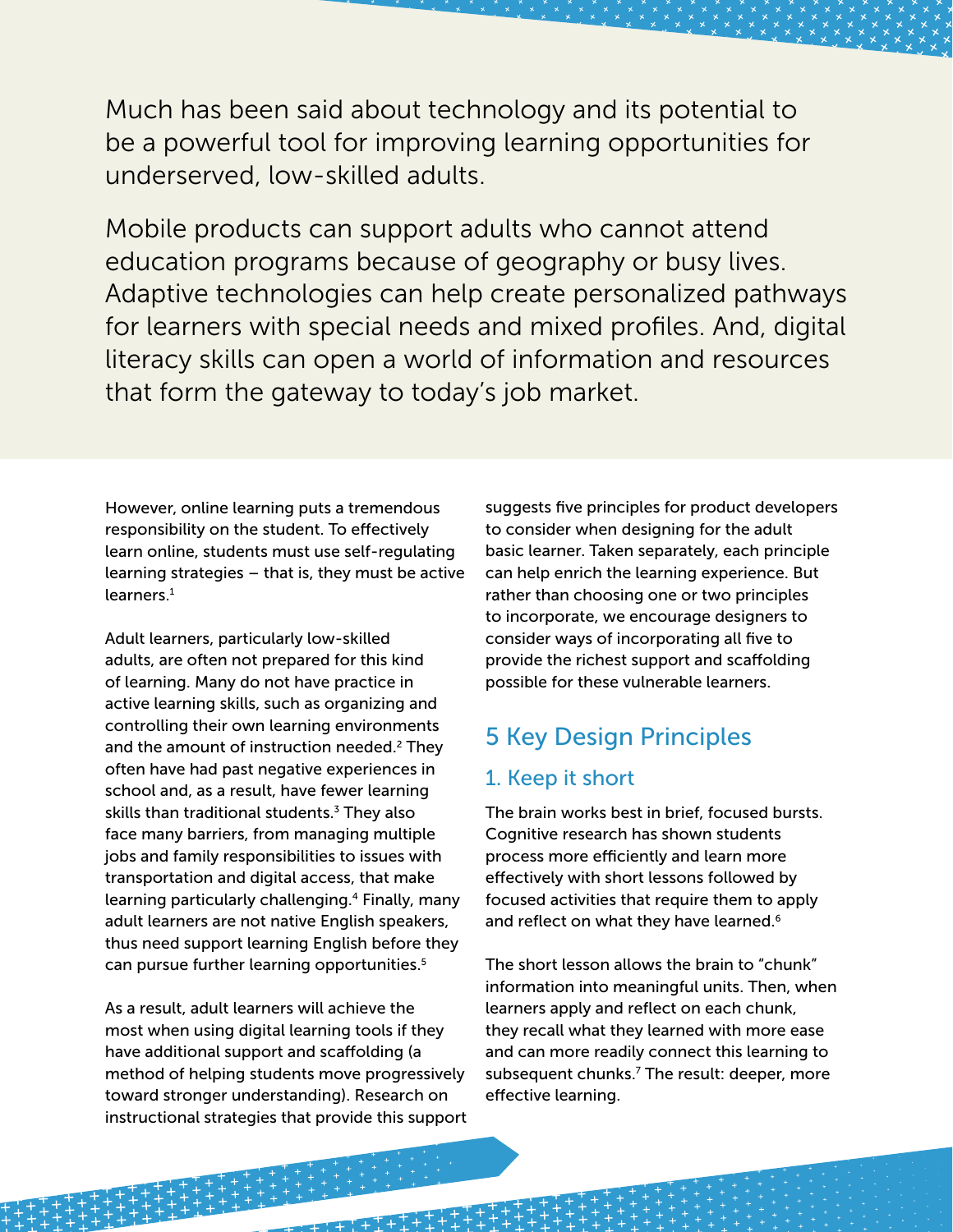Much has been said about technology and its potential to be a powerful tool for improving learning opportunities for underserved, low-skilled adults.

Mobile products can support adults who cannot attend education programs because of geography or busy lives. Adaptive technologies can help create personalized pathways for learners with special needs and mixed profiles. And, digital literacy skills can open a world of information and resources that form the gateway to today's job market.

However, online learning puts a tremendous responsibility on the student. To effectively learn online, students must use self-regulating learning strategies – that is, they must be active learners.<sup>1</sup>

Adult learners, particularly low-skilled adults, are often not prepared for this kind of learning. Many do not have practice in active learning skills, such as organizing and controlling their own learning environments and the amount of instruction needed.<sup>2</sup> They often have had past negative experiences in school and, as a result, have fewer learning skills than traditional students.<sup>3</sup> They also face many barriers, from managing multiple jobs and family responsibilities to issues with transportation and digital access, that make learning particularly challenging.4 Finally, many adult learners are not native English speakers, thus need support learning English before they can pursue further learning opportunities.<sup>5</sup>

As a result, adult learners will achieve the most when using digital learning tools if they have additional support and scaffolding (a method of helping students move progressively toward stronger understanding). Research on instructional strategies that provide this support

suggests five principles for product developers to consider when designing for the adult basic learner. Taken separately, each principle can help enrich the learning experience. But rather than choosing one or two principles to incorporate, we encourage designers to consider ways of incorporating all five to provide the richest support and scaffolding possible for these vulnerable learners.

### 5 Key Design Principles

#### 1. Keep it short

The brain works best in brief, focused bursts. Cognitive research has shown students process more efficiently and learn more effectively with short lessons followed by focused activities that require them to apply and reflect on what they have learned.<sup>6</sup>

The short lesson allows the brain to "chunk" information into meaningful units. Then, when learners apply and reflect on each chunk, they recall what they learned with more ease and can more readily connect this learning to subsequent chunks.<sup>7</sup> The result: deeper, more effective learning.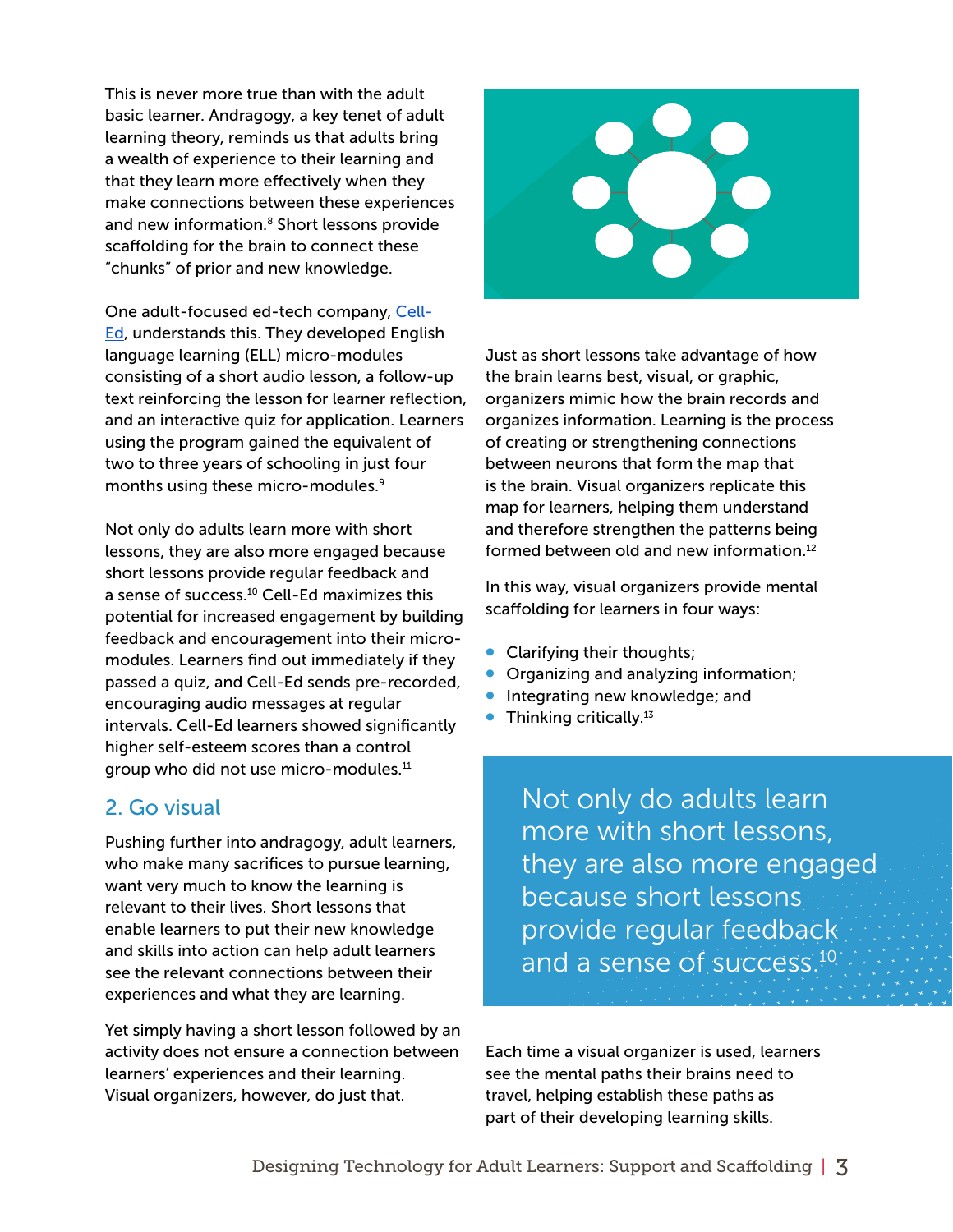This is never more true than with the adult basic learner. Andragogy, a key tenet of adult learning theory, reminds us that adults bring a wealth of experience to their learning and that they learn more effectively when they make connections between these experiences and new information.<sup>8</sup> Short lessons provide scaffolding for the brain to connect these "chunks" of prior and new knowledge.

One adult-focused ed-tech company, [Cell-](http://www.celled.org/)**Ed**, understands this. They developed English language learning (ELL) micro-modules consisting of a short audio lesson, a follow-up text reinforcing the lesson for learner reflection, and an interactive quiz for application. Learners using the program gained the equivalent of two to three years of schooling in just four months using these micro-modules.<sup>9</sup>

Not only do adults learn more with short lessons, they are also more engaged because short lessons provide regular feedback and a sense of success.10 Cell-Ed maximizes this potential for increased engagement by building feedback and encouragement into their micromodules. Learners find out immediately if they passed a quiz, and Cell-Ed sends pre-recorded, encouraging audio messages at regular intervals. Cell-Ed learners showed significantly higher self-esteem scores than a control group who did not use micro-modules.<sup>11</sup>

#### 2. Go visual

Pushing further into andragogy, adult learners, who make many sacrifices to pursue learning, want very much to know the learning is relevant to their lives. Short lessons that enable learners to put their new knowledge and skills into action can help adult learners see the relevant connections between their experiences and what they are learning.

Yet simply having a short lesson followed by an activity does not ensure a connection between learners' experiences and their learning. Visual organizers, however, do just that.



Just as short lessons take advantage of how the brain learns best, visual, or graphic, organizers mimic how the brain records and organizes information. Learning is the process of creating or strengthening connections between neurons that form the map that is the brain. Visual organizers replicate this map for learners, helping them understand and therefore strengthen the patterns being formed between old and new information.<sup>12</sup>

In this way, visual organizers provide mental scaffolding for learners in four ways:

- Clarifying their thoughts;
- Organizing and analyzing information;
- Integrating new knowledge; and
- $\bullet$  Thinking critically.<sup>13</sup>

Not only do adults learn more with short lessons, they are also more engaged because short lessons provide regular feedback and a sense of success.<sup>10</sup>

Each time a visual organizer is used, learners see the mental paths their brains need to travel, helping establish these paths as part of their developing learning skills.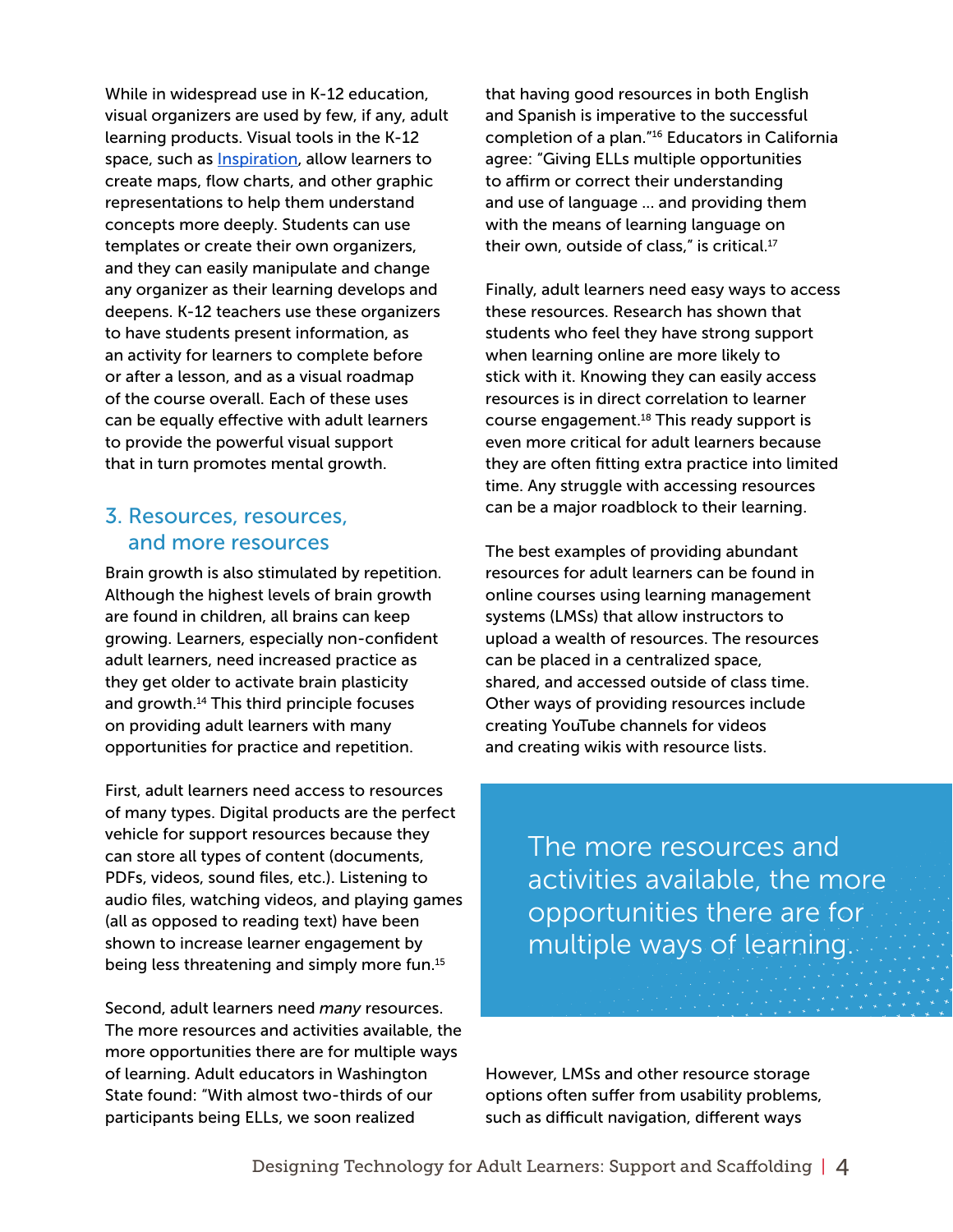While in widespread use in K-12 education, visual organizers are used by few, if any, adult learning products. Visual tools in the K-12 space, such as [Inspiration](http://www.inspiration.com/), allow learners to create maps, flow charts, and other graphic representations to help them understand concepts more deeply. Students can use templates or create their own organizers, and they can easily manipulate and change any organizer as their learning develops and deepens. K-12 teachers use these organizers to have students present information, as an activity for learners to complete before or after a lesson, and as a visual roadmap of the course overall. Each of these uses can be equally effective with adult learners to provide the powerful visual support that in turn promotes mental growth.

#### 3. Resources, resources, and more resources

Brain growth is also stimulated by repetition. Although the highest levels of brain growth are found in children, all brains can keep growing. Learners, especially non-confident adult learners, need increased practice as they get older to activate brain plasticity and growth.<sup>14</sup> This third principle focuses on providing adult learners with many opportunities for practice and repetition.

First, adult learners need access to resources of many types. Digital products are the perfect vehicle for support resources because they can store all types of content (documents, PDFs, videos, sound files, etc.). Listening to audio files, watching videos, and playing games (all as opposed to reading text) have been shown to increase learner engagement by being less threatening and simply more fun.<sup>15</sup>

Second, adult learners need *many* resources. The more resources and activities available, the more opportunities there are for multiple ways of learning. Adult educators in Washington State found: "With almost two-thirds of our participants being ELLs, we soon realized

that having good resources in both English and Spanish is imperative to the successful completion of a plan."16 Educators in California agree: "Giving ELLs multiple opportunities to affirm or correct their understanding and use of language ... and providing them with the means of learning language on their own, outside of class," is critical.<sup>17</sup>

Finally, adult learners need easy ways to access these resources. Research has shown that students who feel they have strong support when learning online are more likely to stick with it. Knowing they can easily access resources is in direct correlation to learner course engagement.<sup>18</sup> This ready support is even more critical for adult learners because they are often fitting extra practice into limited time. Any struggle with accessing resources can be a major roadblock to their learning.

The best examples of providing abundant resources for adult learners can be found in online courses using learning management systems (LMSs) that allow instructors to upload a wealth of resources. The resources can be placed in a centralized space, shared, and accessed outside of class time. Other ways of providing resources include creating YouTube channels for videos and creating wikis with resource lists.

> The more resources and activities available, the more opportunities there are for multiple ways of learning.

However, LMSs and other resource storage options often suffer from usability problems, such as difficult navigation, different ways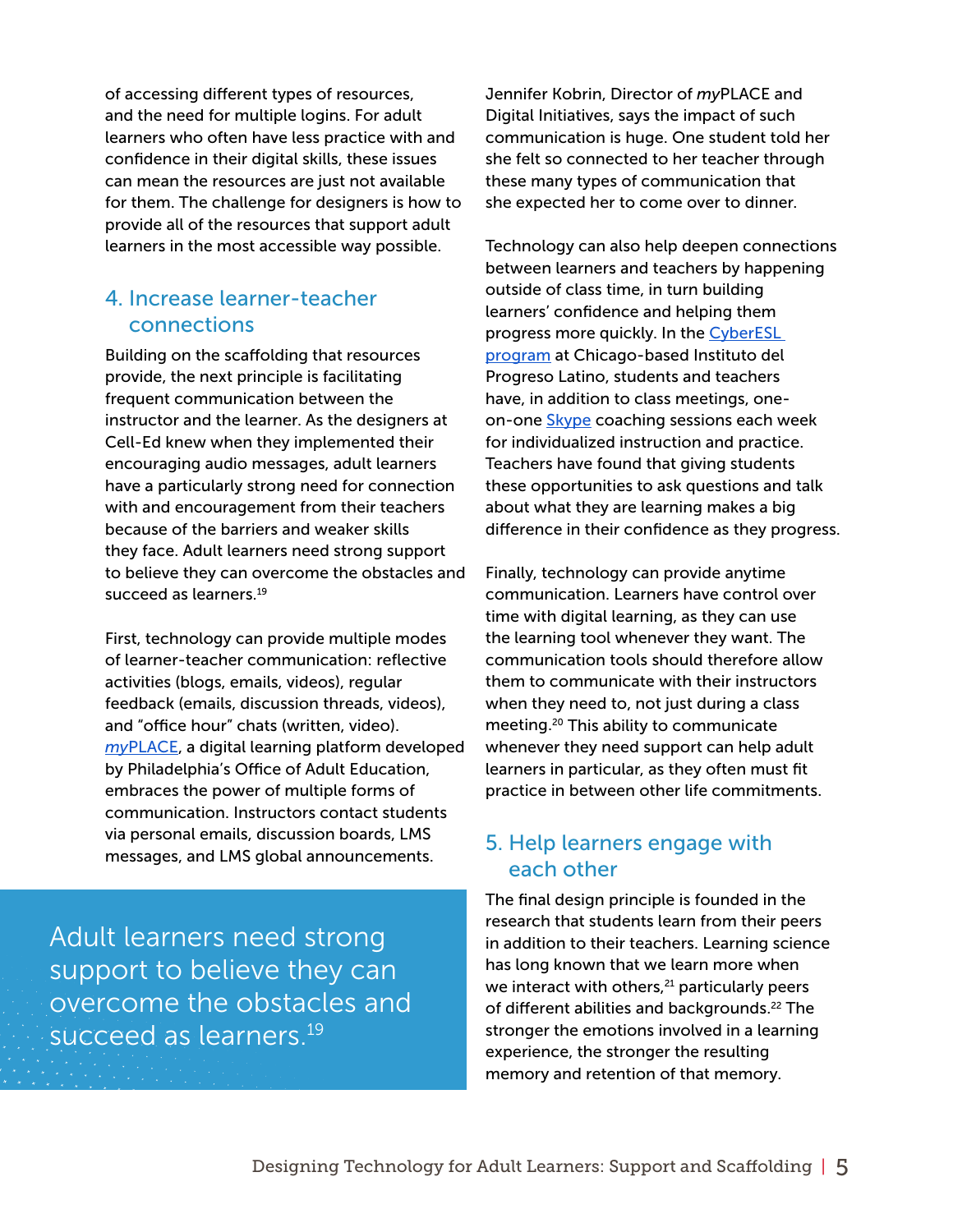of accessing different types of resources, and the need for multiple logins. For adult learners who often have less practice with and confidence in their digital skills, these issues can mean the resources are just not available for them. The challenge for designers is how to provide all of the resources that support adult learners in the most accessible way possible.

#### 4. Increase learner-teacher connections

Building on the scaffolding that resources provide, the next principle is facilitating frequent communication between the instructor and the learner. As the designers at Cell-Ed knew when they implemented their encouraging audio messages, adult learners have a particularly strong need for connection with and encouragement from their teachers because of the barriers and weaker skills they face. Adult learners need strong support to believe they can overcome the obstacles and succeed as learners.<sup>19</sup>

First, technology can provide multiple modes of learner-teacher communication: reflective activities (blogs, emails, videos), regular feedback (emails, discussion threads, videos), and "office hour" chats (written, video). *[my](http://philaliteracy.org/adult_learners/myplace-online/)*[PLACE,](http://philaliteracy.org/adult_learners/myplace-online/) a digital learning platform developed by Philadelphia's Office of Adult Education, embraces the power of multiple forms of communication. Instructors contact students via personal emails, discussion boards, LMS messages, and LMS global announcements.

Adult learners need strong support to believe they can overcome the obstacles and succeed as learners.<sup>19</sup>

Jennifer Kobrin, Director of *my*PLACE and Digital Initiatives, says the impact of such communication is huge. One student told her she felt so connected to her teacher through these many types of communication that she expected her to come over to dinner.

Technology can also help deepen connections between learners and teachers by happening outside of class time, in turn building learners' confidence and helping them progress more quickly. In the CyberESL [program](https://d3jc3ahdjad7x7.cloudfront.net/cwndsmB2I4g6PFIdDYp1bYintYH1hhbW0ebL2IijoNpljezz.pdf) at Chicago-based Instituto del Progreso Latino, students and teachers have, in addition to class meetings, oneon-one [Skype](https://www.skype.com/en/) coaching sessions each week for individualized instruction and practice. Teachers have found that giving students these opportunities to ask questions and talk about what they are learning makes a big difference in their confidence as they progress.

Finally, technology can provide anytime communication. Learners have control over time with digital learning, as they can use the learning tool whenever they want. The communication tools should therefore allow them to communicate with their instructors when they need to, not just during a class meeting.20 This ability to communicate whenever they need support can help adult learners in particular, as they often must fit practice in between other life commitments.

#### 5. Help learners engage with each other

The final design principle is founded in the research that students learn from their peers in addition to their teachers. Learning science has long known that we learn more when we interact with others,<sup>21</sup> particularly peers of different abilities and backgrounds.<sup>22</sup> The stronger the emotions involved in a learning experience, the stronger the resulting memory and retention of that memory.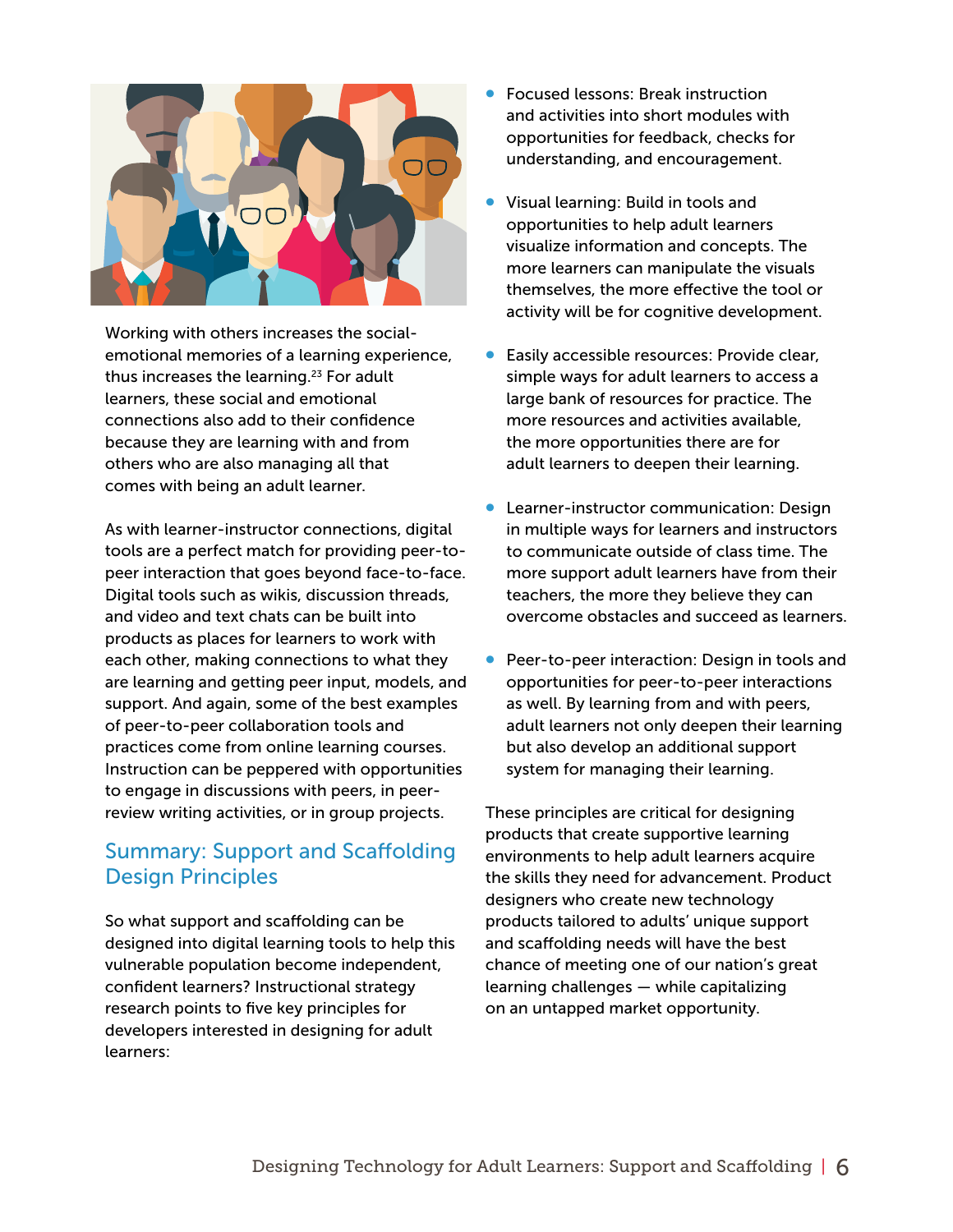

Working with others increases the socialemotional memories of a learning experience, thus increases the learning.<sup>23</sup> For adult learners, these social and emotional connections also add to their confidence because they are learning with and from others who are also managing all that comes with being an adult learner.

As with learner-instructor connections, digital tools are a perfect match for providing peer-topeer interaction that goes beyond face-to-face. Digital tools such as wikis, discussion threads, and video and text chats can be built into products as places for learners to work with each other, making connections to what they are learning and getting peer input, models, and support. And again, some of the best examples of peer-to-peer collaboration tools and practices come from online learning courses. Instruction can be peppered with opportunities to engage in discussions with peers, in peerreview writing activities, or in group projects.

#### Summary: Support and Scaffolding Design Principles

So what support and scaffolding can be designed into digital learning tools to help this vulnerable population become independent, confident learners? Instructional strategy research points to five key principles for developers interested in designing for adult learners:

- Focused lessons: Break instruction and activities into short modules with opportunities for feedback, checks for understanding, and encouragement.
- Visual learning: Build in tools and opportunities to help adult learners visualize information and concepts. The more learners can manipulate the visuals themselves, the more effective the tool or activity will be for cognitive development.
- Easily accessible resources: Provide clear, simple ways for adult learners to access a large bank of resources for practice. The more resources and activities available, the more opportunities there are for adult learners to deepen their learning.
- Learner-instructor communication: Design in multiple ways for learners and instructors to communicate outside of class time. The more support adult learners have from their teachers, the more they believe they can overcome obstacles and succeed as learners.
- Peer-to-peer interaction: Design in tools and opportunities for peer-to-peer interactions as well. By learning from and with peers, adult learners not only deepen their learning but also develop an additional support system for managing their learning.

These principles are critical for designing products that create supportive learning environments to help adult learners acquire the skills they need for advancement. Product designers who create new technology products tailored to adults' unique support and scaffolding needs will have the best chance of meeting one of our nation's great learning challenges — while capitalizing on an untapped market opportunity.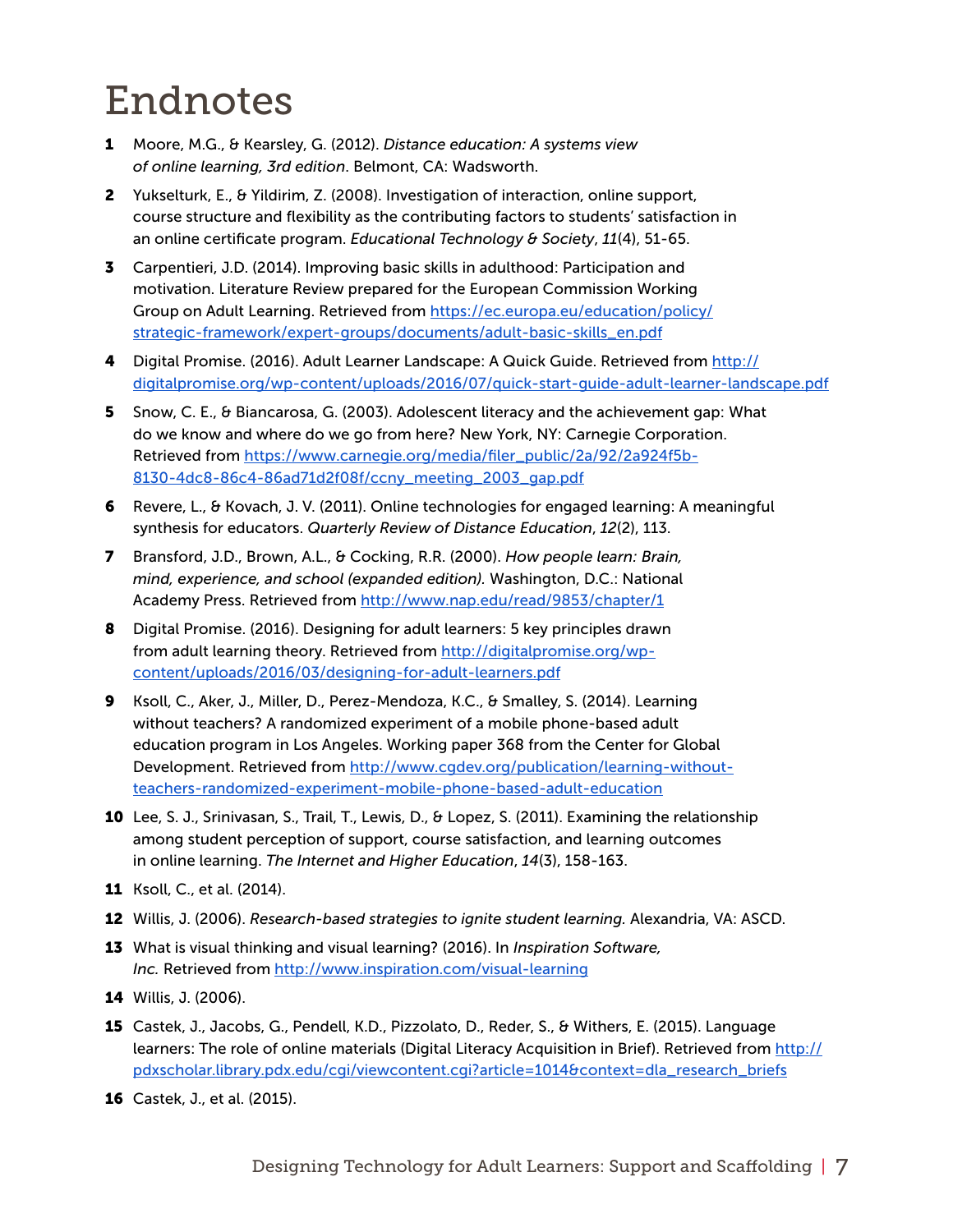## Endnotes

- 1 Moore, M.G., & Kearsley, G. (2012). *Distance education: A systems view of online learning, 3rd edition*. Belmont, CA: Wadsworth.
- 2 Yukselturk, E., & Yildirim, Z. (2008). Investigation of interaction, online support, course structure and flexibility as the contributing factors to students' satisfaction in an online certificate program. *Educational Technology & Society*, *11*(4), 51-65.
- 3 Carpentieri, J.D. (2014). Improving basic skills in adulthood: Participation and motivation. Literature Review prepared for the European Commission Working Group on Adult Learning. Retrieved from [https://ec.europa.eu/education/policy/](https://ec.europa.eu/education/policy/strategic-framework/expert-groups/documents/adult-basic-skills_en.pdf) [strategic-framework/expert-groups/documents/adult-basic-skills\\_en.pdf](https://ec.europa.eu/education/policy/strategic-framework/expert-groups/documents/adult-basic-skills_en.pdf)
- 4 Digital Promise. (2016). Adult Learner Landscape: A Quick Guide. Retrieved from [http://](http://digitalpromise.org/wp-content/uploads/2016/07/quick-start-guide-adult-learner-landscape.pdf) [digitalpromise.org/wp-content/uploads/2016/07/quick-start-guide-adult-learner-landscape.pdf](http://digitalpromise.org/wp-content/uploads/2016/07/quick-start-guide-adult-learner-landscape.pdf)
- 5 Snow, C. E., & Biancarosa, G. (2003). Adolescent literacy and the achievement gap: What do we know and where do we go from here? New York, NY: Carnegie Corporation. Retrieved from [https://www.carnegie.org/media/filer\\_public/2a/92/2a924f5b-](https://www.carnegie.org/media/filer_public/2a/92/2a924f5b-8130-4dc8-86c4-86ad71d2f08f/ccny_meeting_2003_gap.pdf)[8130-4dc8-86c4-86ad71d2f08f/ccny\\_meeting\\_2003\\_gap.pdf](https://www.carnegie.org/media/filer_public/2a/92/2a924f5b-8130-4dc8-86c4-86ad71d2f08f/ccny_meeting_2003_gap.pdf)
- 6 Revere, L., & Kovach, J. V. (2011). Online technologies for engaged learning: A meaningful synthesis for educators. *Quarterly Review of Distance Education*, *12*(2), 113.
- 7 Bransford, J.D., Brown, A.L., & Cocking, R.R. (2000). *How people learn: Brain, mind, experience, and school (expanded edition).* Washington, D.C.: National Academy Press. Retrieved from <http://www.nap.edu/read/9853/chapter/1>
- 8 Digital Promise. (2016). Designing for adult learners: 5 key principles drawn from adult learning theory. Retrieved from [http://digitalpromise.org/wp](http://digitalpromise.org/wp-content/uploads/2016/03/designing-for-adult-learners.pdf)[content/uploads/2016/03/designing-for-adult-learners.pdf](http://digitalpromise.org/wp-content/uploads/2016/03/designing-for-adult-learners.pdf)
- 9 Ksoll, C., Aker, J., Miller, D., Perez-Mendoza, K.C., & Smalley, S. (2014). Learning without teachers? A randomized experiment of a mobile phone-based adult education program in Los Angeles. Working paper 368 from the Center for Global Development. Retrieved from [http://www.cgdev.org/publication/learning-without](http://www.cgdev.org/publication/learning-without-teachers-randomized-experiment-mobile-phone-based-adult-education)[teachers-randomized-experiment-mobile-phone-based-adult-education](http://www.cgdev.org/publication/learning-without-teachers-randomized-experiment-mobile-phone-based-adult-education)
- 10 Lee, S. J., Srinivasan, S., Trail, T., Lewis, D., & Lopez, S. (2011). Examining the relationship among student perception of support, course satisfaction, and learning outcomes in online learning. *The Internet and Higher Education*, *14*(3), 158-163.
- 11 Ksoll, C., et al. (2014).
- 12 Willis, J. (2006). *Research-based strategies to ignite student learning.* Alexandria, VA: ASCD.
- 13 What is visual thinking and visual learning? (2016). In *Inspiration Software, Inc.* Retrieved from<http://www.inspiration.com/visual-learning>
- 14 Willis, J. (2006).
- 15 Castek, J., Jacobs, G., Pendell, K.D., Pizzolato, D., Reder, S., & Withers, E. (2015). Language learners: The role of online materials (Digital Literacy Acquisition in Brief). Retrieved from [http://](http://pdxscholar.library.pdx.edu/cgi/viewcontent.cgi?article=1014&context=dla_research_briefs) [pdxscholar.library.pdx.edu/cgi/viewcontent.cgi?article=1014&context=dla\\_research\\_briefs](http://pdxscholar.library.pdx.edu/cgi/viewcontent.cgi?article=1014&context=dla_research_briefs)
- 16 Castek, J., et al. (2015).